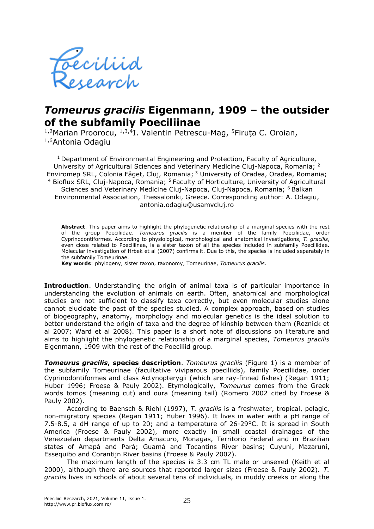

## *Tomeurus gracilis* **Eigenmann, 1909 – the outsider of the subfamily Poeciliinae**

<sup>1,2</sup>Marian Proorocu, <sup>1,3,4</sup>I. Valentin Petrescu-Mag, <sup>5</sup>Firuța C. Oroian, 1,6Antonia Odagiu

<sup>1</sup> Department of Environmental Engineering and Protection, Faculty of Agriculture, University of Agricultural Sciences and Veterinary Medicine Cluj-Napoca, Romania; <sup>2</sup> Enviromep SRL, Colonia Făget, Cluj, Romania; <sup>3</sup> University of Oradea, Oradea, Romania; Bioflux SRL, Cluj-Napoca, Romania; <sup>5</sup> Faculty of Horticulture, University of Agricultural Sciences and Veterinary Medicine Cluj-Napoca, Cluj-Napoca, Romania; <sup>6</sup> Balkan Environmental Association, Thessaloniki, Greece. Corresponding author: A. Odagiu, antonia.odagiu@usamvcluj.ro

**Abstract**. This paper aims to highlight the phylogenetic relationship of a marginal species with the rest of the group Poeciliidae. *Tomeurus gracilis* is a member of the family Poeciliidae, order Cyprinodontiformes. According to physiological, morphological and anatomical investigations, *T. gracilis*, even close related to Poeciliinae, is a sister taxon of all the species included in subfamily Poeciliidae. Molecular investigation of Hrbek et al (2007) confirms it. Due to this, the species is included separately in the subfamily Tomeurinae.

**Key words**: phylogeny, sister taxon, taxonomy, Tomeurinae, *Tomeurus gracilis*.

**Introduction**. Understanding the origin of animal taxa is of particular importance in understanding the evolution of animals on earth. Often, anatomical and morphological studies are not sufficient to classify taxa correctly, but even molecular studies alone cannot elucidate the past of the species studied. A complex approach, based on studies of biogeography, anatomy, morphology and molecular genetics is the ideal solution to better understand the origin of taxa and the degree of kinship between them (Reznick et al 2007; Ward et al 2008). This paper is a short note of discussions on literature and aims to highlight the phylogenetic relationship of a marginal species, *Tomeurus gracilis* Eigenmann, 1909 with the rest of the Poeciliid group.

*Tomeurus gracilis***, species description**. *Tomeurus gracilis* (Figure 1) is a member of the subfamily Tomeurinae (facultative viviparous poeciliids), family Poeciliidae, order Cyprinodontiformes and class Actynopterygii (which are ray-finned fishes) (Regan 1911; Huber 1996; Froese & Pauly 2002). Etymologically, *Tomeurus* comes from the Greek words tomos (meaning cut) and oura (meaning tail) (Romero 2002 cited by Froese & Pauly 2002).

According to Baensch & Riehl (1997), *T. gracilis* is a freshwater, tropical, pelagic, non-migratory species (Regan 1911; Huber 1996). It lives in water with a pH range of 7.5-8.5, a dH range of up to 20; and a temperature of 26-29°C. It is spread in South America (Froese & Pauly 2002), more exactly in small coastal drainages of the Venezuelan departments Delta Amacuro, Monagas, Territorio Federal and in Brazilian states of Amapá and Pará; Guamá and Tocantins River basins; Cuyuni, Mazaruni, Essequibo and Corantijn River basins (Froese & Pauly 2002).

The maximum length of the species is 3.3 cm TL male or unsexed (Keith et al 2000), although there are sources that reported larger sizes (Froese & Pauly 2002). *T. gracilis* lives in schools of about several tens of individuals, in muddy creeks or along the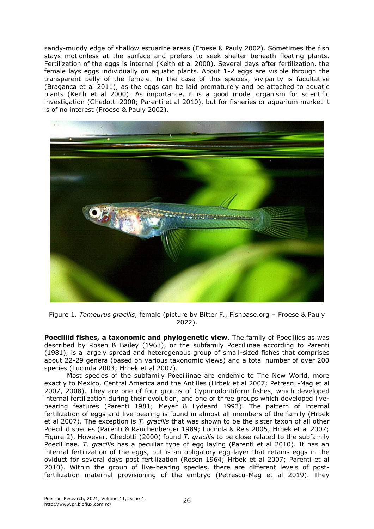sandy-muddy edge of shallow estuarine areas (Froese & Pauly 2002). Sometimes the fish stays motionless at the surface and prefers to seek shelter beneath floating plants. Fertilization of the eggs is internal (Keith et al 2000). Several days after fertilization, the female lays eggs individually on aquatic plants. About 1-2 eggs are visible through the transparent belly of the female. In the case of this species, viviparity is facultative (Bragança et al 2011), as the eggs can be laid prematurely and be attached to aquatic plants (Keith et al 2000). As importance, it is a good model organism for scientific investigation (Ghedotti 2000; Parenti et al 2010), but for fisheries or aquarium market it is of no interest (Froese & Pauly 2002).



Figure 1. *Tomeurus gracilis*, female (picture by Bitter F., Fishbase.org – Froese & Pauly 2022).

**Poeciliid fishes, a taxonomic and phylogenetic view**. The family of Poeciliids as was described by Rosen & Bailey (1963), or the subfamily Poeciliinae according to Parenti (1981), is a largely spread and heterogenous group of small-sized fishes that comprises about 22-29 genera (based on various taxonomic views) and a total number of over 200 species (Lucinda 2003; Hrbek et al 2007).

Most species of the subfamily Poeciliinae are endemic to The New World, more exactly to Mexico, Central America and the Antilles (Hrbek et al 2007; Petrescu-Mag et al 2007, 2008). They are one of four groups of Cyprinodontiform fishes, which developed internal fertilization during their evolution, and one of three groups which developed livebearing features (Parenti 1981; Meyer & Lydeard 1993). The pattern of internal fertilization of eggs and live-bearing is found in almost all members of the family (Hrbek et al 2007). The exception is *T. gracilis* that was shown to be the sister taxon of all other Poeciliid species (Parenti & Rauchenberger 1989; Lucinda & Reis 2005; Hrbek et al 2007; Figure 2). However, Ghedotti (2000) found *T. gracilis* to be close related to the subfamily Poeciliinae. *T. gracilis* has a peculiar type of egg laying (Parenti et al 2010). It has an internal fertilization of the eggs, but is an obligatory egg-layer that retains eggs in the oviduct for several days post fertilization (Rosen 1964; Hrbek et al 2007; Parenti et al 2010). Within the group of live-bearing species, there are different levels of postfertilization maternal provisioning of the embryo (Petrescu-Mag et al 2019). They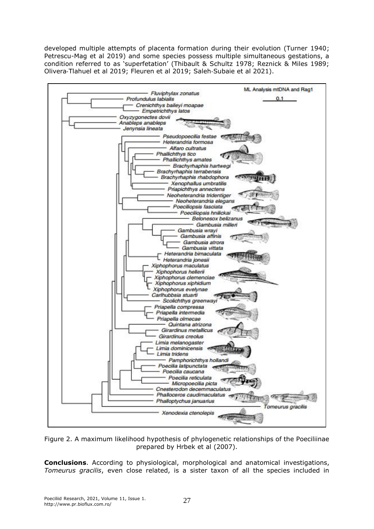developed multiple attempts of placenta formation during their evolution (Turner 1940; Petrescu-Mag et al 2019) and some species possess multiple simultaneous gestations, a condition referred to as 'superfetation' (Thibault & Schultz 1978; Reznick & Miles 1989; Olivera‐Tlahuel et al 2019; Fleuren et al 2019; Saleh‐Subaie et al 2021).



Figure 2. A maximum likelihood hypothesis of phylogenetic relationships of the Poeciliinae prepared by Hrbek et al (2007).

**Conclusions**. According to physiological, morphological and anatomical investigations, *Tomeurus gracilis*, even close related, is a sister taxon of all the species included in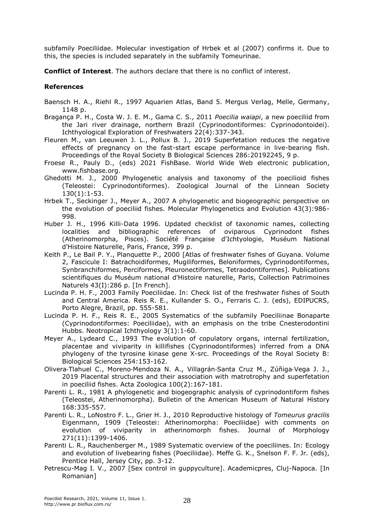subfamily Poeciliidae. Molecular investigation of Hrbek et al (2007) confirms it. Due to this, the species is included separately in the subfamily Tomeurinae.

**Conflict of Interest**. The authors declare that there is no conflict of interest.

## **References**

- Baensch H. A., Riehl R., 1997 Aquarien Atlas, Band 5. Mergus Verlag, Melle, Germany, 1148 p.
- Bragança P. H., Costa W. J. E. M., Gama C. S., 2011 *Poecilia waiapi*, a new poeciliid from the Jari river drainage, northern Brazil (Cyprinodontiformes: Cyprinodontoidei). Ichthyological Exploration of Freshwaters 22(4):337-343.
- Fleuren M., van Leeuwen J. L., Pollux B. J., 2019 Superfetation reduces the negative effects of pregnancy on the fast-start escape performance in live-bearing fish. Proceedings of the Royal Society B Biological Sciences 286:20192245, 9 p.
- Froese R., Pauly D., (eds) 2021 FishBase. World Wide Web electronic publication, www.fishbase.org.
- Ghedotti M. J., 2000 Phylogenetic analysis and taxonomy of the poecilioid fishes (Teleostei: Cyprinodontiformes). Zoological Journal of the Linnean Society 130(1):1-53.
- Hrbek T., Seckinger J., Meyer A., 2007 A phylogenetic and biogeographic perspective on the evolution of poeciliid fishes. Molecular Phylogenetics and Evolution 43(3):986- 998.
- Huber J. H., 1996 Killi-Data 1996. Updated checklist of taxonomic names, collecting localities and bibliographic references of oviparous Cyprinodont fishes (Atherinomorpha, Pisces). Société Française d'Ichtyologie, Muséum National d'Histoire Naturelle, Paris, France, 399 p.
- Keith P., Le Bail P. Y., Planquette P., 2000 [Atlas of freshwater fishes of Guyana. Volume 2, Fascicule I: Batrachoidiformes, Mugiliformes, Beloniformes, Cyprinodontiformes, Synbranchiformes, Perciformes, Pleuronectiformes, Tetraodontiformes]. Publications scientifiques du Muséum national d'Histoire naturelle, Paris, Collection Patrimoines Naturels 43(I):286 p. [In French].
- Lucinda P. H. F., 2003 Family Poeciliidae. In: Check list of the freshwater fishes of South and Central America. Reis R. E., Kullander S. O., Ferraris C. J. (eds), EDIPUCRS, Porto Alegre, Brazil, pp. 555-581.
- Lucinda P. H. F., Reis R. E., 2005 Systematics of the subfamily Poeciliinae Bonaparte (Cyprinodontiformes: Poeciliidae), with an emphasis on the tribe Cnesterodontini Hubbs. Neotropical Ichthyology 3(1):1-60.
- Meyer A., Lydeard C., 1993 The evolution of copulatory organs, internal fertilization, placentae and viviparity in killifishes (Cyprinodontiformes) inferred from a DNA phylogeny of the tyrosine kinase gene X-src. Proceedings of the Royal Society B: Biological Sciences 254:153-162.
- Olivera‐Tlahuel C., Moreno‐Mendoza N. A., Villagrán‐Santa Cruz M., Zúñiga‐Vega J. J., 2019 Placental structures and their association with matrotrophy and superfetation in poeciliid fishes. Acta Zoologica 100(2):167-181.
- Parenti L. R., 1981 A phylogenetic and biogeographic analysis of cyprinodontiform fishes (Teleostei, Atherinomorpha). Bulletin of the American Museum of Natural History 168:335-557.
- Parenti L. R., LoNostro F. L., Grier H. J., 2010 Reproductive histology of *Tomeurus gracilis* Eigenmann, 1909 (Teleostei: Atherinomorpha: Poeciliidae) with comments on evolution of viviparity in atherinomorph fishes. Journal of Morphology 271(11):1399-1406.
- Parenti L. R., Rauchenberger M., 1989 Systematic overview of the poeciliines. In: Ecology and evolution of livebearing fishes (Poeciliidae). Meffe G. K., Snelson F. F. Jr. (eds), Prentice Hall, Jersey City, pp. 3-12.
- Petrescu-Mag I. V., 2007 [Sex control in guppyculture]. Academicpres, Cluj-Napoca. [In Romanian]